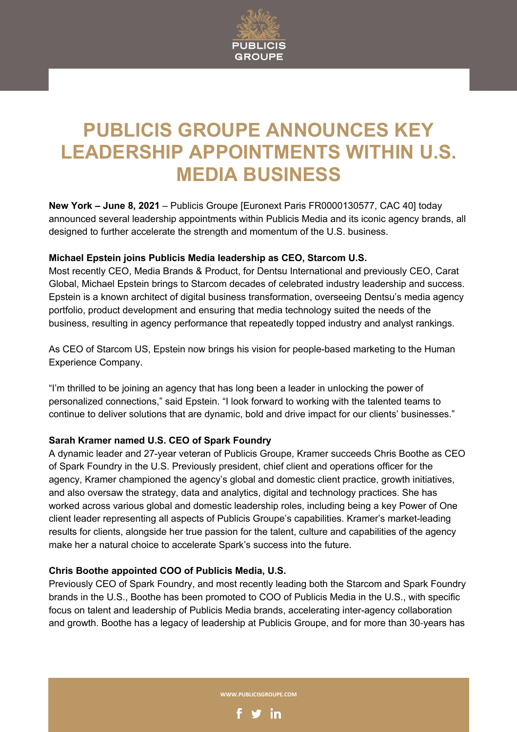

# **PUBLICIS GROUPE ANNOUNCES KEY LEADERSHIP APPOINTMENTS WITHIN U.S. MEDIA BUSINESS**

**New York – June 8, 2021** – Publicis Groupe [Euronext Paris FR0000130577, CAC 40] today announced several leadership appointments within Publicis Media and its iconic agency brands, all designed to further accelerate the strength and momentum of the U.S. business.

## **Michael Epstein joins Publicis Media leadership as CEO, Starcom U.S.**

Most recently CEO, Media Brands & Product, for Dentsu International and previously CEO, Carat Global, Michael Epstein brings to Starcom decades of celebrated industry leadership and success. Epstein is a known architect of digital business transformation, overseeing Dentsu's media agency portfolio, product development and ensuring that media technology suited the needs of the business, resulting in agency performance that repeatedly topped industry and analyst rankings.

As CEO of Starcom US, Epstein now brings his vision for people-based marketing to the Human Experience Company.

"I'm thrilled to be joining an agency that has long been a leader in unlocking the power of personalized connections," said Epstein. "I look forward to working with the talented teams to continue to deliver solutions that are dynamic, bold and drive impact for our clients' businesses."

## **Sarah Kramer named U.S. CEO of Spark Foundry**

A dynamic leader and 27-year veteran of Publicis Groupe, Kramer succeeds Chris Boothe as CEO of Spark Foundry in the U.S. Previously president, chief client and operations officer for the agency, Kramer championed the agency's global and domestic client practice, growth initiatives, and also oversaw the strategy, data and analytics, digital and technology practices. She has worked across various global and domestic leadership roles, including being a key Power of One client leader representing all aspects of Publicis Groupe's capabilities. Kramer's market-leading results for clients, alongside her true passion for the talent, culture and capabilities of the agency make her a natural choice to accelerate Spark's success into the future.

## **Chris Boothe appointed COO of Publicis Media, U.S.**

Previously CEO of Spark Foundry, and most recently leading both the Starcom and Spark Foundry brands in the U.S., Boothe has been promoted to COO of Publicis Media in the U.S., with specific focus on talent and leadership of Publicis Media brands, accelerating inter-agency collaboration and growth. Boothe has a legacy of leadership at Publicis Groupe, and for more than 30-years has

**WWW.PUBLICISGROUPE.COM**